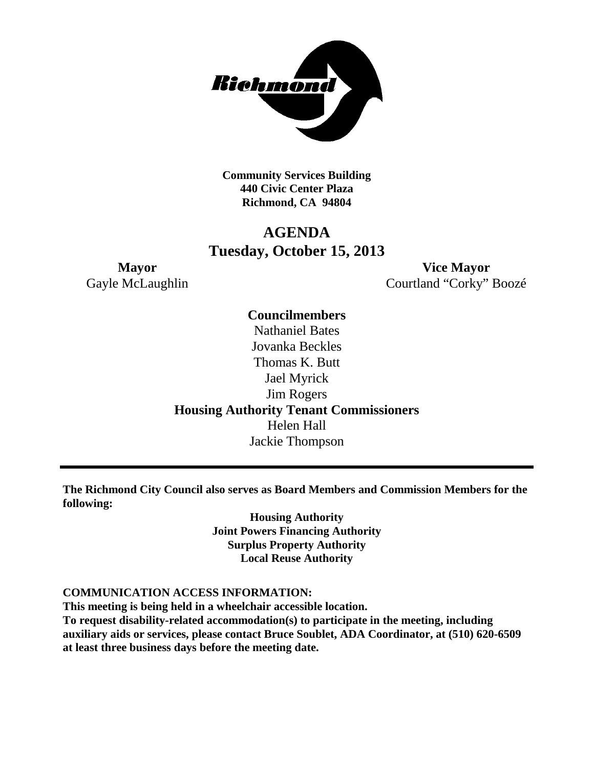

**Community Services Building 440 Civic Center Plaza Richmond, CA 94804**

# **AGENDA Tuesday, October 15, 2013**

**Mayor Vice Mayor** Gayle McLaughlin Courtland "Corky" Boozé

> **Councilmembers** Nathaniel Bates Jovanka Beckles Thomas K. Butt Jael Myrick Jim Rogers **Housing Authority Tenant Commissioners** Helen Hall Jackie Thompson

**The Richmond City Council also serves as Board Members and Commission Members for the following:**

> **Housing Authority Joint Powers Financing Authority Surplus Property Authority Local Reuse Authority**

#### **COMMUNICATION ACCESS INFORMATION:**

**This meeting is being held in a wheelchair accessible location. To request disability-related accommodation(s) to participate in the meeting, including auxiliary aids or services, please contact Bruce Soublet, ADA Coordinator, at (510) 620-6509 at least three business days before the meeting date.**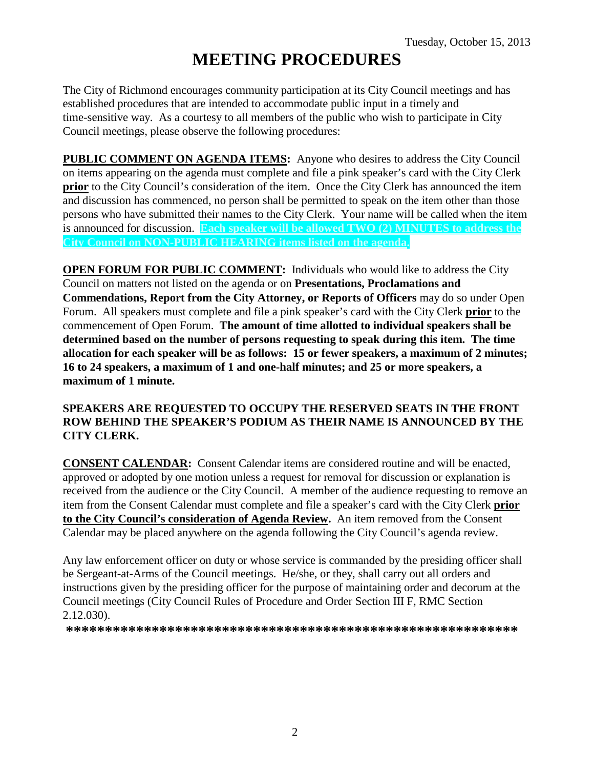# **MEETING PROCEDURES**

The City of Richmond encourages community participation at its City Council meetings and has established procedures that are intended to accommodate public input in a timely and time-sensitive way. As a courtesy to all members of the public who wish to participate in City Council meetings, please observe the following procedures:

**PUBLIC COMMENT ON AGENDA ITEMS:** Anyone who desires to address the City Council on items appearing on the agenda must complete and file a pink speaker's card with the City Clerk **prior** to the City Council's consideration of the item. Once the City Clerk has announced the item and discussion has commenced, no person shall be permitted to speak on the item other than those persons who have submitted their names to the City Clerk. Your name will be called when the item is announced for discussion. **Each speaker will be allowed TWO (2) MINUTES to address the City Council on NON-PUBLIC HEARING items listed on the agenda.**

**OPEN FORUM FOR PUBLIC COMMENT:** Individuals who would like to address the City Council on matters not listed on the agenda or on **Presentations, Proclamations and Commendations, Report from the City Attorney, or Reports of Officers** may do so under Open Forum. All speakers must complete and file a pink speaker's card with the City Clerk **prior** to the commencement of Open Forum. **The amount of time allotted to individual speakers shall be determined based on the number of persons requesting to speak during this item. The time allocation for each speaker will be as follows: 15 or fewer speakers, a maximum of 2 minutes; 16 to 24 speakers, a maximum of 1 and one-half minutes; and 25 or more speakers, a maximum of 1 minute.**

### **SPEAKERS ARE REQUESTED TO OCCUPY THE RESERVED SEATS IN THE FRONT ROW BEHIND THE SPEAKER'S PODIUM AS THEIR NAME IS ANNOUNCED BY THE CITY CLERK.**

**CONSENT CALENDAR:** Consent Calendar items are considered routine and will be enacted, approved or adopted by one motion unless a request for removal for discussion or explanation is received from the audience or the City Council. A member of the audience requesting to remove an item from the Consent Calendar must complete and file a speaker's card with the City Clerk **prior to the City Council's consideration of Agenda Review.** An item removed from the Consent Calendar may be placed anywhere on the agenda following the City Council's agenda review.

Any law enforcement officer on duty or whose service is commanded by the presiding officer shall be Sergeant-at-Arms of the Council meetings. He/she, or they, shall carry out all orders and instructions given by the presiding officer for the purpose of maintaining order and decorum at the Council meetings (City Council Rules of Procedure and Order Section III F, RMC Section 2.12.030).

**\*\*\*\*\*\*\*\*\*\*\*\*\*\*\*\*\*\*\*\*\*\*\*\*\*\*\*\*\*\*\*\*\*\*\*\*\*\*\*\*\*\*\*\*\*\*\*\*\*\*\*\*\*\*\*\*\*\***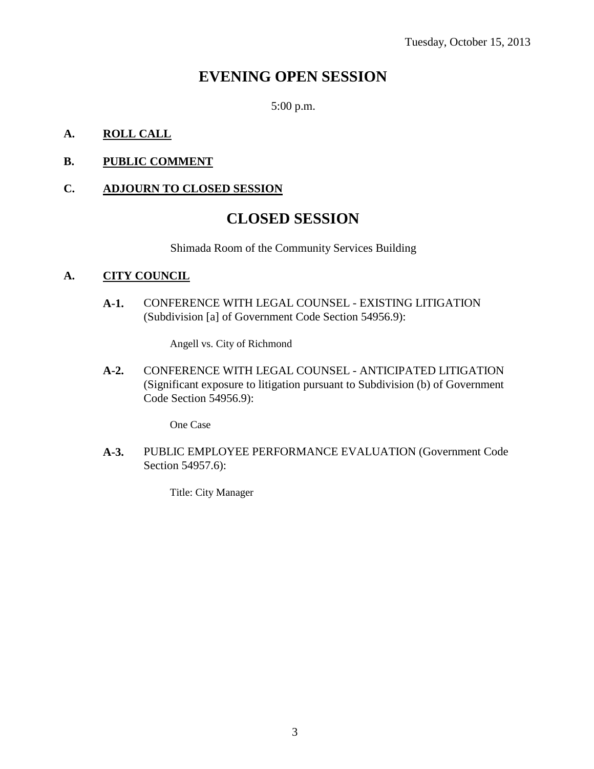# **EVENING OPEN SESSION**

5:00 p.m.

### **A. ROLL CALL**

### **B. PUBLIC COMMENT**

# **C. ADJOURN TO CLOSED SESSION**

# **CLOSED SESSION**

Shimada Room of the Community Services Building

#### **A. CITY COUNCIL**

**A-1.** CONFERENCE WITH LEGAL COUNSEL - EXISTING LITIGATION (Subdivision [a] of Government Code Section 54956.9):

Angell vs. City of Richmond

**A-2.** CONFERENCE WITH LEGAL COUNSEL - ANTICIPATED LITIGATION (Significant exposure to litigation pursuant to Subdivision (b) of Government Code Section 54956.9):

One Case

**A-3.** PUBLIC EMPLOYEE PERFORMANCE EVALUATION (Government Code Section 54957.6):

Title: City Manager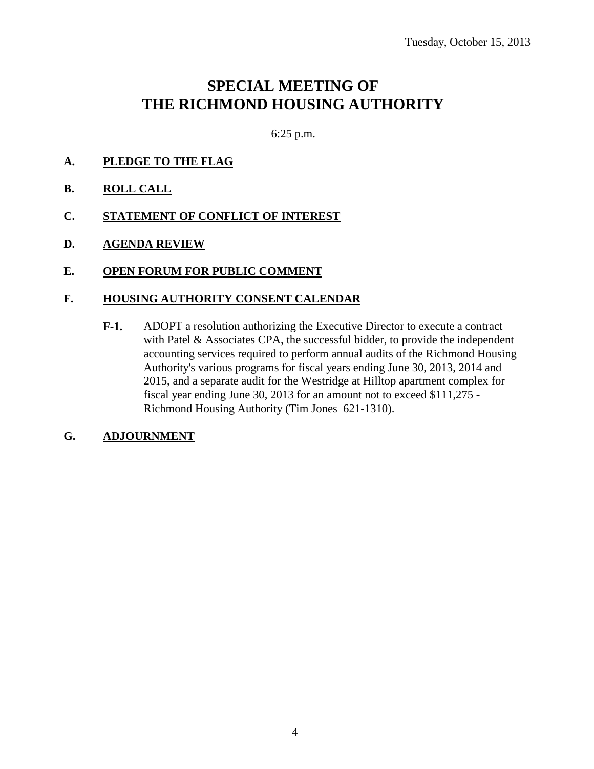# **SPECIAL MEETING OF THE RICHMOND HOUSING AUTHORITY**

6:25 p.m.

- **A. PLEDGE TO THE FLAG**
- **B. ROLL CALL**
- **C. STATEMENT OF CONFLICT OF INTEREST**
- **D. AGENDA REVIEW**
- **E. OPEN FORUM FOR PUBLIC COMMENT**

#### **F. HOUSING AUTHORITY CONSENT CALENDAR**

**F-1.** ADOPT a resolution authorizing the Executive Director to execute a contract with Patel & Associates CPA, the successful bidder, to provide the independent accounting services required to perform annual audits of the Richmond Housing Authority's various programs for fiscal years ending June 30, 2013, 2014 and 2015, and a separate audit for the Westridge at Hilltop apartment complex for fiscal year ending June 30, 2013 for an amount not to exceed \$111,275 - Richmond Housing Authority (Tim Jones 621-1310).

### **G. ADJOURNMENT**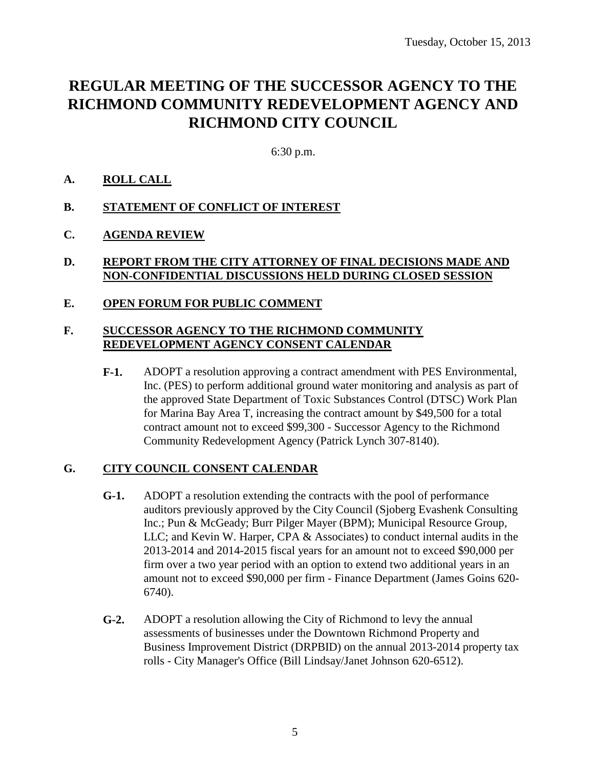# **REGULAR MEETING OF THE SUCCESSOR AGENCY TO THE RICHMOND COMMUNITY REDEVELOPMENT AGENCY AND RICHMOND CITY COUNCIL**

6:30 p.m.

### **A. ROLL CALL**

#### **B. STATEMENT OF CONFLICT OF INTEREST**

### **C. AGENDA REVIEW**

### **D. REPORT FROM THE CITY ATTORNEY OF FINAL DECISIONS MADE AND NON-CONFIDENTIAL DISCUSSIONS HELD DURING CLOSED SESSION**

#### **E. OPEN FORUM FOR PUBLIC COMMENT**

### **F. SUCCESSOR AGENCY TO THE RICHMOND COMMUNITY REDEVELOPMENT AGENCY CONSENT CALENDAR**

**F-1.** ADOPT a resolution approving a contract amendment with PES Environmental, Inc. (PES) to perform additional ground water monitoring and analysis as part of the approved State Department of Toxic Substances Control (DTSC) Work Plan for Marina Bay Area T, increasing the contract amount by \$49,500 for a total contract amount not to exceed \$99,300 - Successor Agency to the Richmond Community Redevelopment Agency (Patrick Lynch 307-8140).

### **G. CITY COUNCIL CONSENT CALENDAR**

- **G-1.** ADOPT a resolution extending the contracts with the pool of performance auditors previously approved by the City Council (Sjoberg Evashenk Consulting Inc.; Pun & McGeady; Burr Pilger Mayer (BPM); Municipal Resource Group, LLC; and Kevin W. Harper, CPA & Associates) to conduct internal audits in the 2013-2014 and 2014-2015 fiscal years for an amount not to exceed \$90,000 per firm over a two year period with an option to extend two additional years in an amount not to exceed \$90,000 per firm - Finance Department (James Goins 620- 6740).
- **G-2.** ADOPT a resolution allowing the City of Richmond to levy the annual assessments of businesses under the Downtown Richmond Property and Business Improvement District (DRPBID) on the annual 2013-2014 property tax rolls - City Manager's Office (Bill Lindsay/Janet Johnson 620-6512).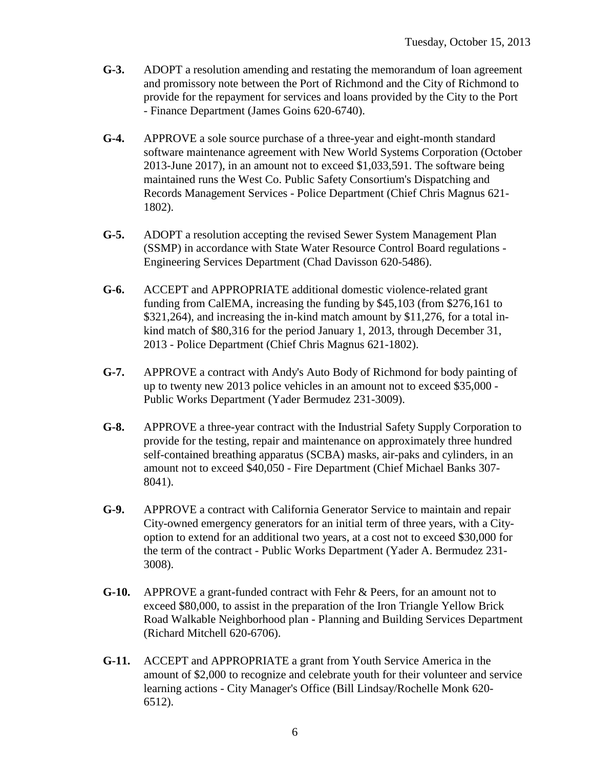- **G-3.** ADOPT a resolution amending and restating the memorandum of loan agreement and promissory note between the Port of Richmond and the City of Richmond to provide for the repayment for services and loans provided by the City to the Port - Finance Department (James Goins 620-6740).
- **G-4.** APPROVE a sole source purchase of a three-year and eight-month standard software maintenance agreement with New World Systems Corporation (October 2013-June 2017), in an amount not to exceed \$1,033,591. The software being maintained runs the West Co. Public Safety Consortium's Dispatching and Records Management Services - Police Department (Chief Chris Magnus 621- 1802).
- **G-5.** ADOPT a resolution accepting the revised Sewer System Management Plan (SSMP) in accordance with State Water Resource Control Board regulations - Engineering Services Department (Chad Davisson 620-5486).
- **G-6.** ACCEPT and APPROPRIATE additional domestic violence-related grant funding from CalEMA, increasing the funding by \$45,103 (from \$276,161 to \$321,264), and increasing the in-kind match amount by \$11,276, for a total inkind match of \$80,316 for the period January 1, 2013, through December 31, 2013 - Police Department (Chief Chris Magnus 621-1802).
- **G-7.** APPROVE a contract with Andy's Auto Body of Richmond for body painting of up to twenty new 2013 police vehicles in an amount not to exceed \$35,000 - Public Works Department (Yader Bermudez 231-3009).
- **G-8.** APPROVE a three-year contract with the Industrial Safety Supply Corporation to provide for the testing, repair and maintenance on approximately three hundred self-contained breathing apparatus (SCBA) masks, air-paks and cylinders, in an amount not to exceed \$40,050 - Fire Department (Chief Michael Banks 307- 8041).
- **G-9.** APPROVE a contract with California Generator Service to maintain and repair City-owned emergency generators for an initial term of three years, with a Cityoption to extend for an additional two years, at a cost not to exceed \$30,000 for the term of the contract - Public Works Department (Yader A. Bermudez 231- 3008).
- **G-10.** APPROVE a grant-funded contract with Fehr & Peers, for an amount not to exceed \$80,000, to assist in the preparation of the Iron Triangle Yellow Brick Road Walkable Neighborhood plan - Planning and Building Services Department (Richard Mitchell 620-6706).
- **G-11.** ACCEPT and APPROPRIATE a grant from Youth Service America in the amount of \$2,000 to recognize and celebrate youth for their volunteer and service learning actions - City Manager's Office (Bill Lindsay/Rochelle Monk 620- 6512).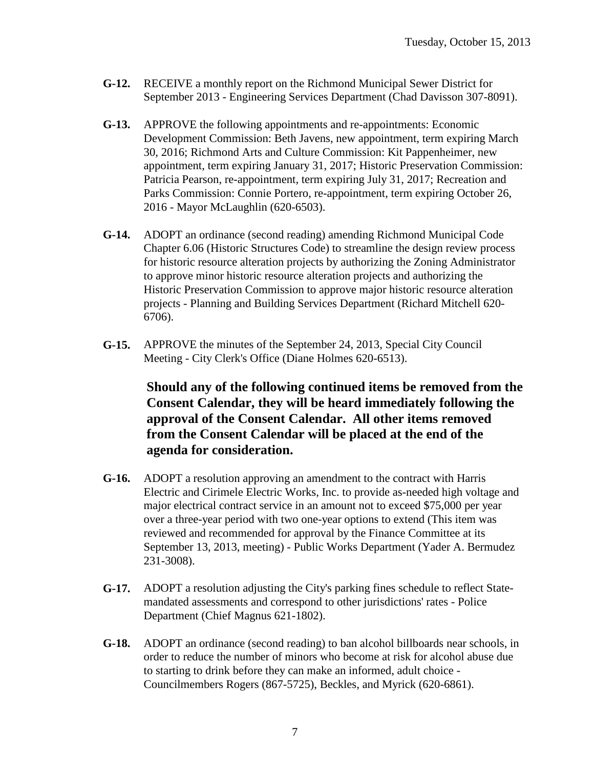- **G-12.** RECEIVE a monthly report on the Richmond Municipal Sewer District for September 2013 - Engineering Services Department (Chad Davisson 307-8091).
- **G-13.** APPROVE the following appointments and re-appointments: Economic Development Commission: Beth Javens, new appointment, term expiring March 30, 2016; Richmond Arts and Culture Commission: Kit Pappenheimer, new appointment, term expiring January 31, 2017; Historic Preservation Commission: Patricia Pearson, re-appointment, term expiring July 31, 2017; Recreation and Parks Commission: Connie Portero, re-appointment, term expiring October 26, 2016 - Mayor McLaughlin (620-6503).
- **G-14.** ADOPT an ordinance (second reading) amending Richmond Municipal Code Chapter 6.06 (Historic Structures Code) to streamline the design review process for historic resource alteration projects by authorizing the Zoning Administrator to approve minor historic resource alteration projects and authorizing the Historic Preservation Commission to approve major historic resource alteration projects - Planning and Building Services Department (Richard Mitchell 620- 6706).
- **G-15.** APPROVE the minutes of the September 24, 2013, Special City Council Meeting - City Clerk's Office (Diane Holmes 620-6513).

**Should any of the following continued items be removed from the Consent Calendar, they will be heard immediately following the approval of the Consent Calendar. All other items removed from the Consent Calendar will be placed at the end of the agenda for consideration.**

- **G-16.** ADOPT a resolution approving an amendment to the contract with Harris Electric and Cirimele Electric Works, Inc. to provide as-needed high voltage and major electrical contract service in an amount not to exceed \$75,000 per year over a three-year period with two one-year options to extend (This item was reviewed and recommended for approval by the Finance Committee at its September 13, 2013, meeting) - Public Works Department (Yader A. Bermudez 231-3008).
- **G-17.** ADOPT a resolution adjusting the City's parking fines schedule to reflect Statemandated assessments and correspond to other jurisdictions' rates - Police Department (Chief Magnus 621-1802).
- **G-18.** ADOPT an ordinance (second reading) to ban alcohol billboards near schools, in order to reduce the number of minors who become at risk for alcohol abuse due to starting to drink before they can make an informed, adult choice - Councilmembers Rogers (867-5725), Beckles, and Myrick (620-6861).